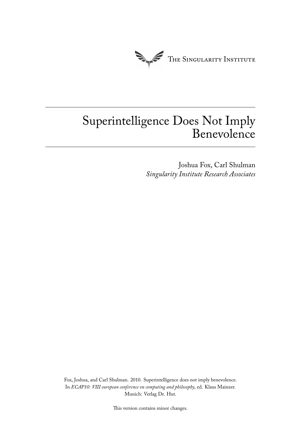

# Superintelligence Does Not Imply Benevolence

Joshua Fox, Carl Shulman *Singularity Institute Research Associates*

Fox, Joshua, and Carl Shulman. 2010. Superintelligence does not imply benevolence. In *ECAP10: VIII european conference on computing and philosophy*, ed. Klaus Mainzer. Munich: Verlag Dr. Hut.

This version contains minor changes.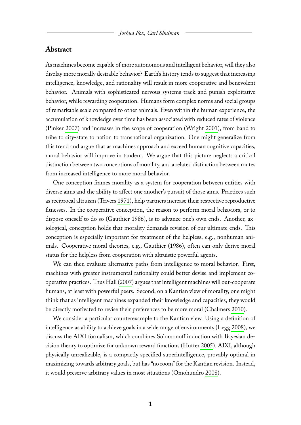### **Abstract**

As machines become capable of more autonomous and intelligent behavior, will they also display more morally desirable behavior? Earth's history tends to suggest that increasing intelligence, knowledge, and rationality will result in more cooperative and benevolent behavior. Animals with sophisticated nervous systems track and punish exploitative behavior, while rewarding cooperation. Humans form complex norms and social groups of remarkable scale compared to other animals. Even within the human experience, the accumulation of knowledge over time has been associated with reduced rates of violence (Pinker [2007\)](#page-7-0) and increases in the scope of cooperation (Wright [2001\)](#page-7-1), from band to tribe to city-state to nation to transnational organization. One might generalize from this trend and argue that as machines approach and exceed human cognitive capacities, moral behavior will improve in tandem. We argue that this picture neglects a critical distinction between two conceptions of morality, and a related distinction between routes from increased intelligence to more moral behavior.

One conception frames morality as a system for cooperation between entities with diverse aims and the ability to affect one another's pursuit of those aims. Practices such as reciprocal altruism (Trivers [1971\)](#page-7-2), help partners increase their respective reproductive fitnesses. In the cooperative conception, the reason to perform moral behaviors, or to dispose oneself to do so (Gauthier [1986\)](#page-7-3), is to advance one's own ends. Another, axiological, conception holds that morality demands revision of our ultimate ends. This conception is especially important for treatment of the helpless, e.g., nonhuman animals. Cooperative moral theories, e.g., Gauthier [\(1986\)](#page-7-3), often can only derive moral status for the helpless from cooperation with altruistic powerful agents.

We can then evaluate alternative paths from intelligence to moral behavior. First, machines with greater instrumental rationality could better devise and implement cooperative practices. Thus Hall [\(2007\)](#page-7-4) argues that intelligent machines will out-cooperate humans, at least with powerful peers. Second, on a Kantian view of morality, one might think that as intelligent machines expanded their knowledge and capacities, they would be directly motivated to revise their preferences to be more moral (Chalmers [2010\)](#page-7-5).

We consider a particular counterexample to the Kantian view. Using a definition of intelligence as ability to achieve goals in a wide range of environments (Legg [2008\)](#page-7-6), we discuss the AIXI formalism, which combines Solomonoff induction with Bayesian decision theory to optimize for unknown reward functions (Hutter [2005\)](#page-7-7). AIXI, although physically unrealizable, is a compactly specified superintelligence, provably optimal in maximizing towards arbitrary goals, but has "no room" for the Kantian revision. Instead, it would preserve arbitrary values in most situations (Omohundro [2008\)](#page-7-8).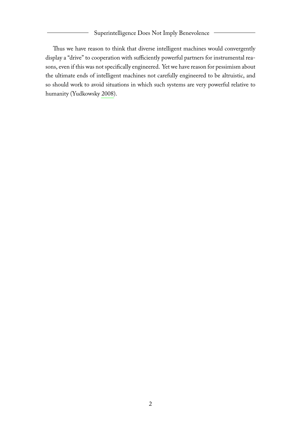#### Superintelligence Does Not Imply Benevolence

Thus we have reason to think that diverse intelligent machines would convergently display a "drive" to cooperation with sufficiently powerful partners for instrumental reasons, even if this was not specifically engineered. Yet we have reason for pessimism about the ultimate ends of intelligent machines not carefully engineered to be altruistic, and so should work to avoid situations in which such systems are very powerful relative to humanity (Yudkowsky [2008\)](#page-7-9).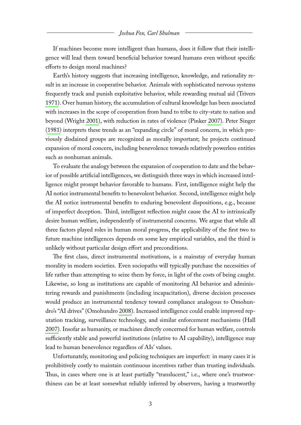If machines become more intelligent than humans, does it follow that their intelligence will lead them toward beneficial behavior toward humans even without specific efforts to design moral machines?

Earth's history suggests that increasing intelligence, knowledge, and rationality result in an increase in cooperative behavior. Animals with sophisticated nervous systems frequently track and punish exploitative behavior, while rewarding mutual aid (Trivers [1971\)](#page-7-2). Over human history, the accumulation of cultural knowledge has been associated with increases in the scope of cooperation from band to tribe to city-state to nation and beyond (Wright [2001\)](#page-7-1), with reduction in rates of violence (Pinker [2007\)](#page-7-0). Peter Singer [\(1981\)](#page-7-10) interprets these trends as an "expanding circle" of moral concern, in which previously disdained groups are recognized as morally important; he projects continued expansion of moral concern, including benevolence towards relatively powerless entities such as nonhuman animals.

To evaluate the analogy between the expansion of cooperation to date and the behavior of possible artificial intelligences, we distinguish three ways in which increased intelligence might prompt behavior favorable to humans. First, intelligence might help the AI notice instrumental benefits to benevolent behavior. Second, intelligence might help the AI notice instrumental benefits to enduring benevolent dispositions, e.g., because of imperfect deception. Third, intelligent reflection might cause the AI to intrinsically desire human welfare, independently of instrumental concerns. We argue that while all three factors played roles in human moral progress, the applicability of the first two to future machine intelligences depends on some key empirical variables, and the third is unlikely without particular design effort and preconditions.

The first class, direct instrumental motivations, is a mainstay of everyday human morality in modern societies. Even sociopaths will typically purchase the necessities of life rather than attempting to seize them by force, in light of the costs of being caught. Likewise, so long as institutions are capable of monitoring AI behavior and administering rewards and punishments (including incapacitation), diverse decision processes would produce an instrumental tendency toward compliance analogous to Omohundro's "AI drives" (Omohundro [2008\)](#page-7-8). Increased intelligence could enable improved reputation tracking, surveillance technology, and similar enforcement mechanisms (Hall [2007\)](#page-7-4). Insofar as humanity, or machines directly concerned for human welfare, controls sufficiently stable and powerful institutions (relative to AI capability), intelligence may lead to human benevolence regardless of AIs' values.

Unfortunately, monitoring and policing techniques are imperfect: in many cases it is prohibitively costly to maintain continuous incentives rather than trusting individuals. Thus, in cases where one is at least partially "translucent," i.e., where one's trustworthiness can be at least somewhat reliably inferred by observers, having a trustworthy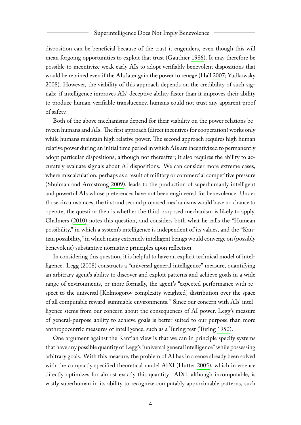disposition can be beneficial because of the trust it engenders, even though this will mean forgoing opportunities to exploit that trust (Gauthier [1986\)](#page-7-3). It may therefore be possible to incentivize weak early AIs to adopt verifiably benevolent dispositions that would be retained even if the AIs later gain the power to renege (Hall [2007;](#page-7-4) Yudkowsky [2008\)](#page-7-9). However, the viability of this approach depends on the credibility of such signals: if intelligence improves AIs' deceptive ability faster than it improves their ability to produce human-verifiable translucency, humans could not trust any apparent proof of safety.

Both of the above mechanisms depend for their viability on the power relations between humans and AIs. The first approach (direct incentives for cooperation) works only while humans maintain high relative power. The second approach requires high human relative power during an initial time period in which AIs are incentivized to permanently adopt particular dispositions, although not thereafter; it also requires the ability to accurately evaluate signals about AI dispositions. We can consider more extreme cases, where miscalculation, perhaps as a result of military or commercial competitive pressure (Shulman and Armstrong [2009\)](#page-7-11), leads to the production of superhumanly intelligent and powerful AIs whose preferences have not been engineered for benevolence. Under those circumstances, the first and second proposed mechanisms would have no chance to operate; the question then is whether the third proposed mechanism is likely to apply. Chalmers [\(2010\)](#page-7-5) notes this question, and considers both what he calls the "Humean possibility," in which a system's intelligence is independent of its values, and the "Kantian possibility," in which many extremely intelligent beings would converge on (possibly benevolent) substantive normative principles upon reflection.

In considering this question, it is helpful to have an explicit technical model of intelligence. Legg [\(2008\)](#page-7-6) constructs a "universal general intelligence" measure, quantifying an arbitrary agent's ability to discover and exploit patterns and achieve goals in a wide range of environments, or more formally, the agent's "expected performance with respect to the universal [Kolmogorov complexity-weighted] distribution over the space of all computable reward-summable environments." Since our concern with AIs' intelligence stems from our concern about the consequences of AI power, Legg's measure of general-purpose ability to achieve goals is better suited to our purpose than more anthropocentric measures of intelligence, such as a Turing test (Turing [1950\)](#page-7-12).

One argument against the Kantian view is that we can in principle specify systems that have any possible quantity of Legg's "universal general intelligence" while possessing arbitrary goals. With this measure, the problem of AI has in a sense already been solved with the compactly specified theoretical model AIXI (Hutter [2005\)](#page-7-7), which in essence directly optimizes for almost exactly this quantity. AIXI, although incomputable, is vastly superhuman in its ability to recognize computably approximable patterns, such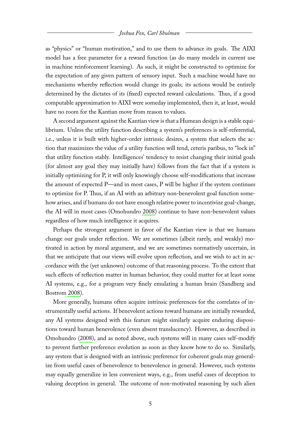as "physics" or "human motivation," and to use them to advance its goals. The AIXI model has a free parameter for a reward function (as do many models in current use in machine reinforcement learning). As such, it might be constructed to optimize for the expectation of any given pattern of sensory input. Such a machine would have no mechanisms whereby reflection would change its goals; its actions would be entirely determined by the dictates of its (fixed) expected reward calculations. Thus, if a good computable approximation to AIXI were someday implemented, then it, at least, would have no room for the Kantian move from reason to values.

A second argument against the Kantian view is that a Humean design is a stable equilibrium. Unless the utility function describing a system's preferences is self-referential, i.e., unless it is built with higher-order intrinsic desires, a system that selects the action that maximizes the value of a utility function will tend, ceteris paribus, to "lock in" that utility function stably. Intelligences' tendency to resist changing their initial goals (for almost any goal they may initially have) follows from the fact that if a system is initially optimizing for P, it will only knowingly choose self-modifications that increase the amount of expected P—and in most cases, P will be higher if the system continues to optimize for P. Thus, if an AI with an arbitrary non-benevolent goal function somehow arises, and if humans do not have enough relative power to incentivize goal-change, the AI will in most cases (Omohundro [2008\)](#page-7-8) continue to have non-benevolent values regardless of how much intelligence it acquires.

Perhaps the strongest argument in favor of the Kantian view is that we humans change our goals under reflection. We are sometimes (albeit rarely, and weakly) motivated in action by moral argument, and we are sometimes normatively uncertain, in that we anticipate that our views will evolve upon reflection, and we wish to act in accordance with the (yet unknown) outcome of that reasoning process. To the extent that such effects of reflection matter in human behavior, they could matter for at least some AI systems, e.g., for a program very finely emulating a human brain (Sandberg and Bostrom [2008\)](#page-7-13).

More generally, humans often acquire intrinsic preferences for the correlates of instrumentally useful actions. If benevolent actions toward humans are initially rewarded, any AI systems designed with this feature might similarly acquire enduring dispositions toward human benevolence (even absent translucency). However, as described in Omohundro [\(2008\)](#page-7-8), and as noted above, such systems will in many cases self-modify to prevent further preference evolution as soon as they know how to do so. Similarly, any system that is designed with an intrinsic preference for coherent goals may generalize from useful cases of benevolence to benevolence in general. However, such systems may equally generalize in less convenient ways, e.g., from useful cases of deception to valuing deception in general. The outcome of non-motivated reasoning by such alien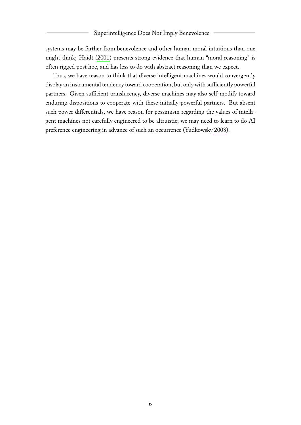systems may be farther from benevolence and other human moral intuitions than one might think; Haidt [\(2001\)](#page-7-14) presents strong evidence that human "moral reasoning" is often rigged post hoc, and has less to do with abstract reasoning than we expect.

Thus, we have reason to think that diverse intelligent machines would convergently display an instrumental tendency toward cooperation, but only with sufficiently powerful partners. Given sufficient translucency, diverse machines may also self-modify toward enduring dispositions to cooperate with these initially powerful partners. But absent such power differentials, we have reason for pessimism regarding the values of intelligent machines not carefully engineered to be altruistic; we may need to learn to do AI preference engineering in advance of such an occurrence (Yudkowsky [2008\)](#page-7-9).